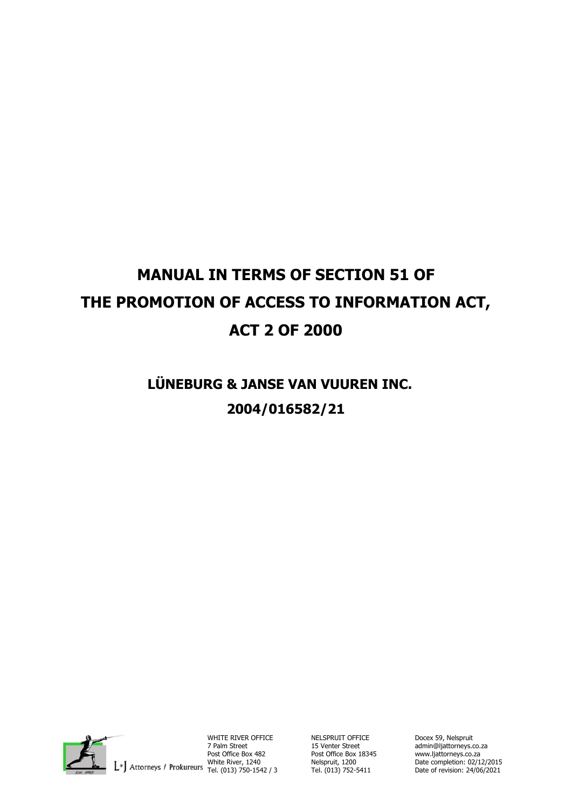# **MANUAL IN TERMS OF SECTION 51 OF THE PROMOTION OF ACCESS TO INFORMATION ACT, ACT 2 OF 2000**

# **LÜNEBURG & JANSE VAN VUUREN INC. 2004/016582/21**



WHITE RIVER OFFICE NELSPRUIT OFFICE Docex 59, Nelspruit 7 Palm Street 15 Venter Street admin@ljattorneys.co.za Post Office Box 482 Post Office Box 18345 www.ljattorneys.co.za

Tel. (013) 752-5411

Post Office Box 482<br>White River, 1240 Melspruit, 1200 Date completion: 02/12/2015<br>Date of revision: 02/10/2021 Tel. (013) 750-1542 / 3 Tel. (013) 752-5411 Date of revision: 24/06/2021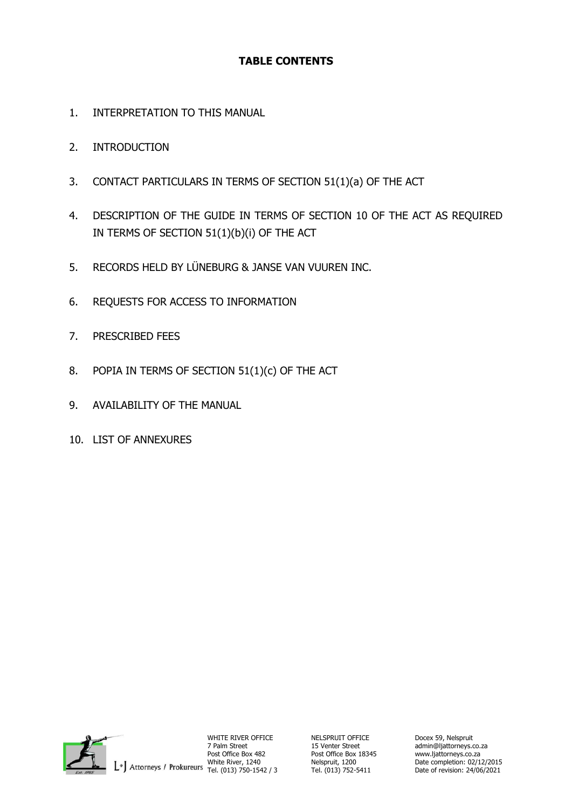# **TABLE CONTENTS**

- 1. INTERPRETATION TO THIS MANUAL
- 2. INTRODUCTION
- 3. CONTACT PARTICULARS IN TERMS OF SECTION 51(1)(a) OF THE ACT
- 4. DESCRIPTION OF THE GUIDE IN TERMS OF SECTION 10 OF THE ACT AS REQUIRED IN TERMS OF SECTION 51(1)(b)(i) OF THE ACT
- 5. RECORDS HELD BY LÜNEBURG & JANSE VAN VUUREN INC.
- 6. REQUESTS FOR ACCESS TO INFORMATION
- 7. PRESCRIBED FEES
- 8. POPIA IN TERMS OF SECTION 51(1)(c) OF THE ACT
- 9. AVAILABILITY OF THE MANUAL
- 10. LIST OF ANNEXURES



WHITE RIVER OFFICE **NELSPRUIT OFFICE** Docex 59, Nelspruit 7 Palm Street 2 15 Venter Street 2 admin@ljattorneys.c 7 Palm Street 15 Venter Street admin@ljattorneys.co.za Post Office Box 482 Post Office Box 18345<br>White River, 1240 Melspruit, 1200<br>Tel. (013) 752-5411 Tel. (013) 752-5411

Nelspruit, 1200 **Date completion: 02/12/2015**<br>Tel. (013) 752-5411 Date of revision: 24/06/2021 Date of revision: 24/06/2021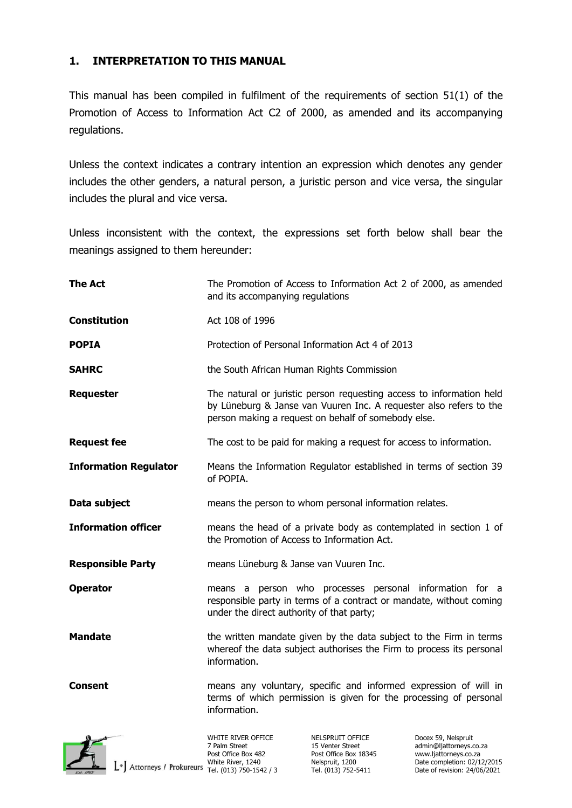#### **1. INTERPRETATION TO THIS MANUAL**

This manual has been compiled in fulfilment of the requirements of section 51(1) of the Promotion of Access to Information Act C2 of 2000, as amended and its accompanying regulations.

Unless the context indicates a contrary intention an expression which denotes any gender includes the other genders, a natural person, a juristic person and vice versa, the singular includes the plural and vice versa.

Unless inconsistent with the context, the expressions set forth below shall bear the meanings assigned to them hereunder:

| <b>The Act</b>               | The Promotion of Access to Information Act 2 of 2000, as amended<br>and its accompanying regulations                                                                                              |                                                               |                                                                         |
|------------------------------|---------------------------------------------------------------------------------------------------------------------------------------------------------------------------------------------------|---------------------------------------------------------------|-------------------------------------------------------------------------|
| <b>Constitution</b>          | Act 108 of 1996                                                                                                                                                                                   |                                                               |                                                                         |
| <b>POPIA</b>                 | Protection of Personal Information Act 4 of 2013                                                                                                                                                  |                                                               |                                                                         |
| <b>SAHRC</b>                 | the South African Human Rights Commission                                                                                                                                                         |                                                               |                                                                         |
| <b>Requester</b>             | The natural or juristic person requesting access to information held<br>by Lüneburg & Janse van Vuuren Inc. A requester also refers to the<br>person making a request on behalf of somebody else. |                                                               |                                                                         |
| <b>Request fee</b>           | The cost to be paid for making a request for access to information.                                                                                                                               |                                                               |                                                                         |
| <b>Information Regulator</b> | Means the Information Regulator established in terms of section 39<br>of POPIA.                                                                                                                   |                                                               |                                                                         |
| Data subject                 | means the person to whom personal information relates.                                                                                                                                            |                                                               |                                                                         |
| <b>Information officer</b>   | means the head of a private body as contemplated in section 1 of<br>the Promotion of Access to Information Act.                                                                                   |                                                               |                                                                         |
| <b>Responsible Party</b>     | means Lüneburg & Janse van Vuuren Inc.                                                                                                                                                            |                                                               |                                                                         |
| <b>Operator</b>              | means a person who processes personal information for a<br>responsible party in terms of a contract or mandate, without coming<br>under the direct authority of that party;                       |                                                               |                                                                         |
| <b>Mandate</b>               | the written mandate given by the data subject to the Firm in terms<br>whereof the data subject authorises the Firm to process its personal<br>information.                                        |                                                               |                                                                         |
| Consent                      | means any voluntary, specific and informed expression of will in<br>terms of which permission is given for the processing of personal<br>information.                                             |                                                               |                                                                         |
|                              | WHITE RIVER OFFICE<br>7 Palm Street<br>Post Office Box 482                                                                                                                                        | NELSPRUIT OFFICE<br>15 Venter Street<br>Post Office Box 18345 | Docex 59, Nelspruit<br>admin@ljattorneys.co.za<br>www.ljattorneys.co.za |

Vide River, 1240<br>
White River, 1240 Nelspruit, 1200 Date completion: 02/12/2015<br>Date of revision: 02/12/2015 Tel. (013) 750-1542 / 3 Tel. (013) 752-5411 Date of revision: 24/06/2021

Date of revision: 24/06/2021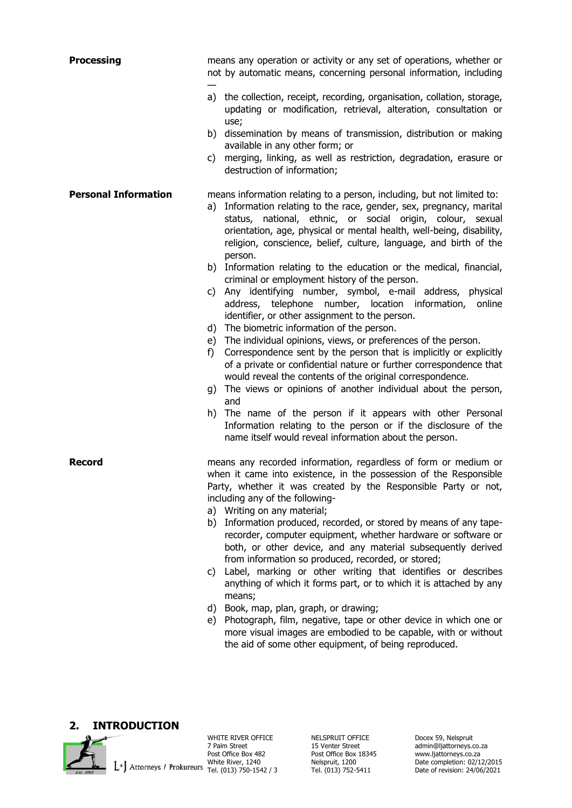| <b>Processing</b>           | means any operation or activity or any set of operations, whether or<br>not by automatic means, concerning personal information, including                                                                                                                                                                                                                           |  |
|-----------------------------|----------------------------------------------------------------------------------------------------------------------------------------------------------------------------------------------------------------------------------------------------------------------------------------------------------------------------------------------------------------------|--|
|                             | a) the collection, receipt, recording, organisation, collation, storage,<br>updating or modification, retrieval, alteration, consultation or<br>use;                                                                                                                                                                                                                 |  |
|                             | b) dissemination by means of transmission, distribution or making<br>available in any other form; or                                                                                                                                                                                                                                                                 |  |
|                             | merging, linking, as well as restriction, degradation, erasure or<br>C)<br>destruction of information;                                                                                                                                                                                                                                                               |  |
| <b>Personal Information</b> | means information relating to a person, including, but not limited to:<br>a) Information relating to the race, gender, sex, pregnancy, marital<br>status, national, ethnic, or social origin, colour, sexual<br>orientation, age, physical or mental health, well-being, disability,<br>religion, conscience, belief, culture, language, and birth of the<br>person. |  |
|                             | b) Information relating to the education or the medical, financial,<br>criminal or employment history of the person.<br>c) Any identifying number, symbol, e-mail address, physical<br>address, telephone number, location information,<br>online<br>identifier, or other assignment to the person.<br>d) The biometric information of the person.                   |  |
|                             | e) The individual opinions, views, or preferences of the person.<br>Correspondence sent by the person that is implicitly or explicitly<br>f)<br>of a private or confidential nature or further correspondence that<br>would reveal the contents of the original correspondence.<br>g) The views or opinions of another individual about the person,<br>and           |  |
|                             | The name of the person if it appears with other Personal<br>h)<br>Information relating to the person or if the disclosure of the<br>name itself would reveal information about the person.                                                                                                                                                                           |  |
| Record                      | means any recorded information, regardless of form or medium or<br>when it came into existence, in the possession of the Responsible<br>Party, whether it was created by the Responsible Party or not,<br>including any of the following-<br>a) Writing on any material;                                                                                             |  |
|                             | Information produced, recorded, or stored by means of any tape-<br>b)<br>recorder, computer equipment, whether hardware or software or<br>both, or other device, and any material subsequently derived<br>from information so produced, recorded, or stored;                                                                                                         |  |
|                             | Label, marking or other writing that identifies or describes<br>C)<br>anything of which it forms part, or to which it is attached by any<br>means;                                                                                                                                                                                                                   |  |
|                             | Book, map, plan, graph, or drawing;<br>d)<br>Photograph, film, negative, tape or other device in which one or<br>e)<br>more visual images are embodied to be capable, with or without<br>the aid of some other equipment, of being reproduced.                                                                                                                       |  |

#### **2. INTRODUCTION**



WHITE RIVER OFFICE<br>
7 Palm Street<br>
Post Office Box 482<br>
Post Office Box 18345 Post Office Box 482<br>
Palm Street<br>
Post Office Box 482<br>
Post Office Box 482<br>
Post Office Box 482<br>
Post Office Box 482<br>
Post Office Box 1834<br>
Post Office Box 1834<br>
Post Office Box 482<br>
Post Office Box 1834<br>
Post Office Box 1

7 Palm Street 15 Venter Street admin@ljattorneys.co.za White River, 1240 **Nelspruit, 1200** Date completion: 02/12/2015 Tel. (013) 750-1542 / 3 Tel. (013) 752-5411 Date of revision: 24/06/2021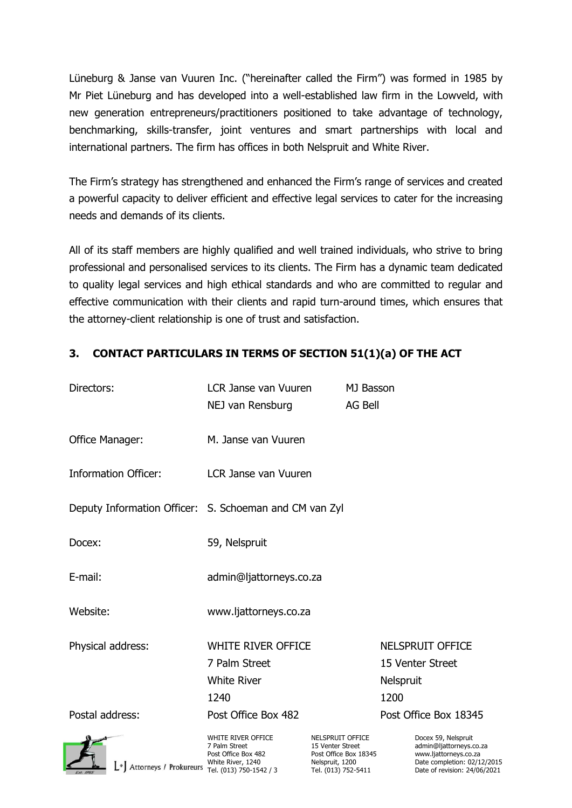Lüneburg & Janse van Vuuren Inc. ("hereinafter called the Firm") was formed in 1985 by Mr Piet Lüneburg and has developed into a well-established law firm in the Lowveld, with new generation entrepreneurs/practitioners positioned to take advantage of technology, benchmarking, skills-transfer, joint ventures and smart partnerships with local and international partners. The firm has offices in both Nelspruit and White River.

The Firm's strategy has strengthened and enhanced the Firm's range of services and created a powerful capacity to deliver efficient and effective legal services to cater for the increasing needs and demands of its clients.

All of its staff members are highly qualified and well trained individuals, who strive to bring professional and personalised services to its clients. The Firm has a dynamic team dedicated to quality legal services and high ethical standards and who are committed to regular and effective communication with their clients and rapid turn-around times, which ensures that the attorney-client relationship is one of trust and satisfaction.

| Directors:                                             | <b>LCR Janse van Vuuren</b>                                                                                | MJ Basson                                                                                               |                                                                                                                                        |
|--------------------------------------------------------|------------------------------------------------------------------------------------------------------------|---------------------------------------------------------------------------------------------------------|----------------------------------------------------------------------------------------------------------------------------------------|
|                                                        | NEJ van Rensburg                                                                                           | <b>AG Bell</b>                                                                                          |                                                                                                                                        |
| Office Manager:                                        | M. Janse van Vuuren                                                                                        |                                                                                                         |                                                                                                                                        |
| <b>Information Officer:</b>                            | LCR Janse van Vuuren                                                                                       |                                                                                                         |                                                                                                                                        |
| Deputy Information Officer: S. Schoeman and CM van Zyl |                                                                                                            |                                                                                                         |                                                                                                                                        |
| Docex:                                                 | 59, Nelspruit                                                                                              |                                                                                                         |                                                                                                                                        |
| E-mail:                                                | admin@ljattorneys.co.za                                                                                    |                                                                                                         |                                                                                                                                        |
| Website:                                               | www.ljattorneys.co.za                                                                                      |                                                                                                         |                                                                                                                                        |
| Physical address:                                      | <b>WHITE RIVER OFFICE</b>                                                                                  |                                                                                                         | NELSPRUIT OFFICE                                                                                                                       |
|                                                        | 7 Palm Street                                                                                              |                                                                                                         | 15 Venter Street                                                                                                                       |
|                                                        | <b>White River</b>                                                                                         |                                                                                                         | Nelspruit                                                                                                                              |
|                                                        | 1240                                                                                                       |                                                                                                         | 1200                                                                                                                                   |
| Postal address:                                        | Post Office Box 482                                                                                        |                                                                                                         | Post Office Box 18345                                                                                                                  |
| $\lfloor \cdot \rfloor$ Attorneys / Prokureurs         | WHITE RIVER OFFICE<br>7 Palm Street<br>Post Office Box 482<br>White River, 1240<br>Tel. (013) 750-1542 / 3 | NELSPRUIT OFFICE<br>15 Venter Street<br>Post Office Box 18345<br>Nelspruit, 1200<br>Tel. (013) 752-5411 | Docex 59, Nelspruit<br>admin@ljattorneys.co.za<br>www.ljattorneys.co.za<br>Date completion: 02/12/2015<br>Date of revision: 24/06/2021 |

#### **3. CONTACT PARTICULARS IN TERMS OF SECTION 51(1)(a) OF THE ACT**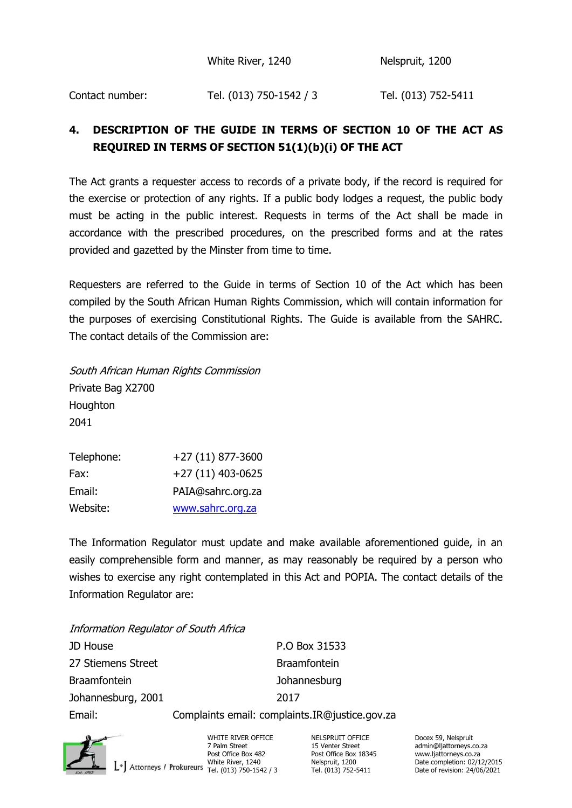White River, 1240 Nelspruit, 1200

Contact number: Tel. (013) 750-1542 / 3 Tel. (013) 752-5411

# **4. DESCRIPTION OF THE GUIDE IN TERMS OF SECTION 10 OF THE ACT AS REQUIRED IN TERMS OF SECTION 51(1)(b)(i) OF THE ACT**

The Act grants a requester access to records of a private body, if the record is required for the exercise or protection of any rights. If a public body lodges a request, the public body must be acting in the public interest. Requests in terms of the Act shall be made in accordance with the prescribed procedures, on the prescribed forms and at the rates provided and gazetted by the Minster from time to time.

Requesters are referred to the Guide in terms of Section 10 of the Act which has been compiled by the South African Human Rights Commission, which will contain information for the purposes of exercising Constitutional Rights. The Guide is available from the SAHRC. The contact details of the Commission are:

South African Human Rights Commission Private Bag X2700 **Houghton** 2041

| Telephone: | +27 (11) 877-3600 |
|------------|-------------------|
| Fax:       | +27 (11) 403-0625 |
| Email:     | PAIA@sahrc.org.za |
| Website:   | www.sahrc.org.za  |

The Information Regulator must update and make available aforementioned guide, in an easily comprehensible form and manner, as may reasonably be required by a person who wishes to exercise any right contemplated in this Act and POPIA. The contact details of the Information Regulator are:

Information Regulator of South Africa JD House **P.O Box 31533** 27 Stiemens Street Braamfontein Braamfontein Johannesburg Johannesburg, 2001 2017 Email: Complaints email: complaints.IR@justice.gov.za



WHITE RIVER OFFICE **NELSPRUIT OFFICE** Docex 59, Nelspruit Device 59, Nelspruit Politics 35, Nelspruit 2 Palm Street Post Office Box 482 Post Office Box 18345 www.ljattorneys.co.za<br>1/240 White River, 1240 Nelspruit, 1200 Date completion: 02/1.<br>1/9/9/250-1542 / 750-1542 / 7el. (013) 752-5411 Date of revision: 24/06

7 Palm Street 15 Venter Street admin@ljattorneys.co.za<br>
Post Office Box 18345 www.liattorneys.co.za Nelspruit, 1200 **Date completion: 02/12/2015**<br>Tel. (013) 752-5411 Date of revision: 24/06/2021 Date of revision: 24/06/2021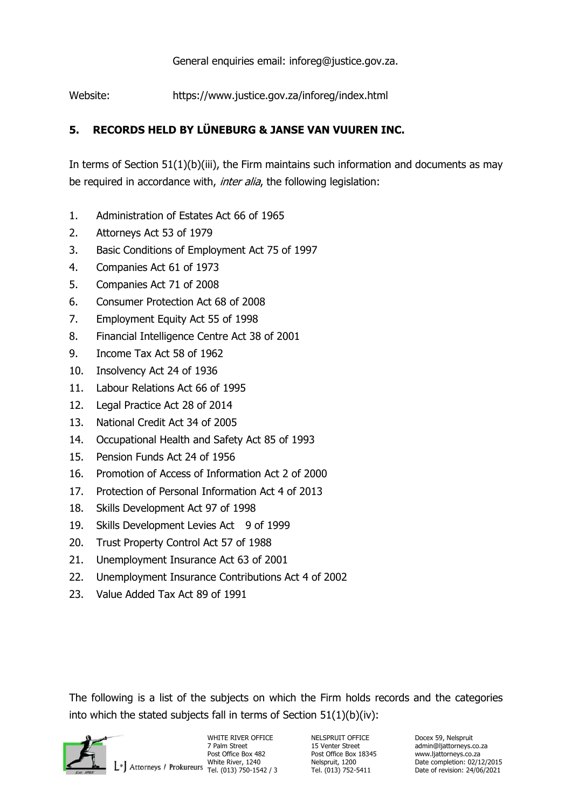General enquiries email: inforeg@justice.gov.za.

Website: https://www.justice.gov.za/inforeg/index.html

# **5. RECORDS HELD BY LÜNEBURG & JANSE VAN VUUREN INC.**

In terms of Section  $51(1)(b)(iii)$ , the Firm maintains such information and documents as may be required in accordance with, inter alia, the following legislation:

- 1. Administration of Estates Act 66 of 1965
- 2. Attorneys Act 53 of 1979
- 3. Basic Conditions of Employment Act 75 of 1997
- 4. Companies Act 61 of 1973
- 5. Companies Act 71 of 2008
- 6. Consumer Protection Act 68 of 2008
- 7. Employment Equity Act 55 of 1998
- 8. Financial Intelligence Centre Act 38 of 2001
- 9. Income Tax Act 58 of 1962
- 10. Insolvency Act 24 of 1936
- 11. Labour Relations Act 66 of 1995
- 12. Legal Practice Act 28 of 2014
- 13. National Credit Act 34 of 2005
- 14. Occupational Health and Safety Act 85 of 1993
- 15. Pension Funds Act 24 of 1956
- 16. Promotion of Access of Information Act 2 of 2000
- 17. Protection of Personal Information Act 4 of 2013
- 18. Skills Development Act 97 of 1998
- 19. Skills Development Levies Act 9 of 1999
- 20. Trust Property Control Act 57 of 1988
- 21. Unemployment Insurance Act 63 of 2001
- 22. Unemployment Insurance Contributions Act 4 of 2002
- 23. Value Added Tax Act 89 of 1991

The following is a list of the subjects on which the Firm holds records and the categories into which the stated subjects fall in terms of Section 51(1)(b)(iv):



WHITE RIVER OFFICE **NELSPRUIT OFFICE** Docex 59, Nelspruit Device in the NELSPRUIT OFFICE **Docex 59**, Nelspruit 7 Palm Street Post Office Box 482 Post Office Box 18345 www.ljattorneys.co.za<br>1/240 White River, 1240 Nelspruit, 1200 Date completion: 02/1<br>1/9/06 02/13 02/52-5411 Date of revision: 24/06

7 Palm Street 15 Venter Street admin@ljattorneys.co.za<br>
2 Post Office Box 482 Post Office Box 18345 www.liattorneys.co.za Nelspruit, 1200 **Date completion: 02/12/2015**<br>Tel. (013) 752-5411 Date of revision: 24/06/2021 Date of revision: 24/06/2021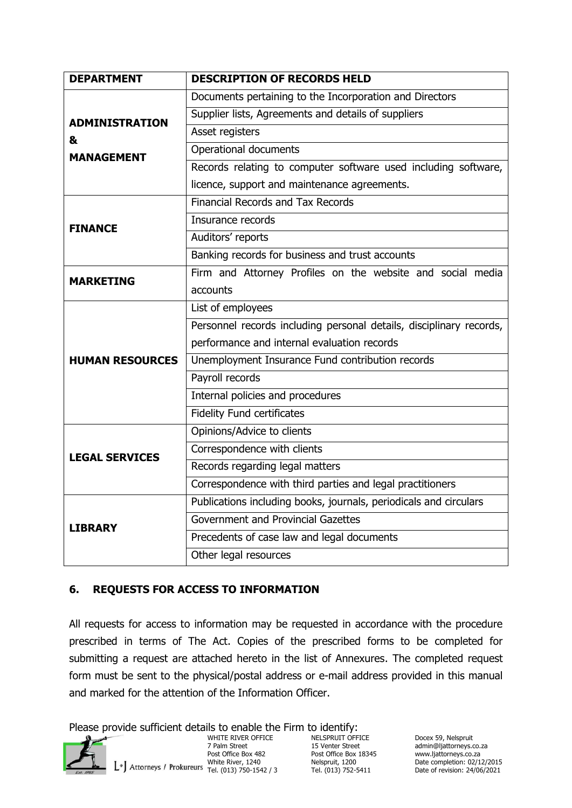| <b>DEPARTMENT</b>          | <b>DESCRIPTION OF RECORDS HELD</b>                                  |  |  |
|----------------------------|---------------------------------------------------------------------|--|--|
|                            | Documents pertaining to the Incorporation and Directors             |  |  |
|                            | Supplier lists, Agreements and details of suppliers                 |  |  |
| <b>ADMINISTRATION</b><br>& | Asset registers                                                     |  |  |
| <b>MANAGEMENT</b>          | Operational documents                                               |  |  |
|                            | Records relating to computer software used including software,      |  |  |
|                            | licence, support and maintenance agreements.                        |  |  |
|                            | <b>Financial Records and Tax Records</b>                            |  |  |
| <b>FINANCE</b>             | Insurance records                                                   |  |  |
|                            | Auditors' reports                                                   |  |  |
|                            | Banking records for business and trust accounts                     |  |  |
| <b>MARKETING</b>           | Firm and Attorney Profiles on the website and social media          |  |  |
|                            | accounts                                                            |  |  |
|                            | List of employees                                                   |  |  |
|                            | Personnel records including personal details, disciplinary records, |  |  |
|                            | performance and internal evaluation records                         |  |  |
| <b>HUMAN RESOURCES</b>     | Unemployment Insurance Fund contribution records                    |  |  |
|                            | Payroll records                                                     |  |  |
|                            | Internal policies and procedures                                    |  |  |
|                            | <b>Fidelity Fund certificates</b>                                   |  |  |
|                            | Opinions/Advice to clients                                          |  |  |
| <b>LEGAL SERVICES</b>      | Correspondence with clients                                         |  |  |
|                            | Records regarding legal matters                                     |  |  |
|                            | Correspondence with third parties and legal practitioners           |  |  |
|                            | Publications including books, journals, periodicals and circulars   |  |  |
| <b>LIBRARY</b>             | Government and Provincial Gazettes                                  |  |  |
|                            | Precedents of case law and legal documents                          |  |  |
|                            | Other legal resources                                               |  |  |

## **6. REQUESTS FOR ACCESS TO INFORMATION**

All requests for access to information may be requested in accordance with the procedure prescribed in terms of The Act. Copies of the prescribed forms to be completed for submitting a request are attached hereto in the list of Annexures. The completed request form must be sent to the physical/postal address or e-mail address provided in this manual and marked for the attention of the Information Officer.

Please provide sufficient details to enable the Firm to identify:



WHITE RIVER OFFICE **NELSPRUIT OFFICE** Docex 59, Nelspruit 7 Palm Street 2 15 Venter Street 2 admin@ljattorneys.c 7 Palm Street 15 Venter Street admin@ljattorneys.co.za<br>
Post Office Box 18345 www.ljattorneys.co.za Post Office Box 482 Post Office Box 18345<br>
White River, 1240 Nelspruit, 1200<br>
Post Office Box 18345 white River, 1240<br>
Post Office Box 18345<br>
Post Office Box 18345<br>
Post Office Box 18345

Nelspruit, 1200 **Date completion: 02/12/2015**<br>Tel. (013) 752-5411 Date of revision: 24/06/2021 Date of revision: 24/06/2021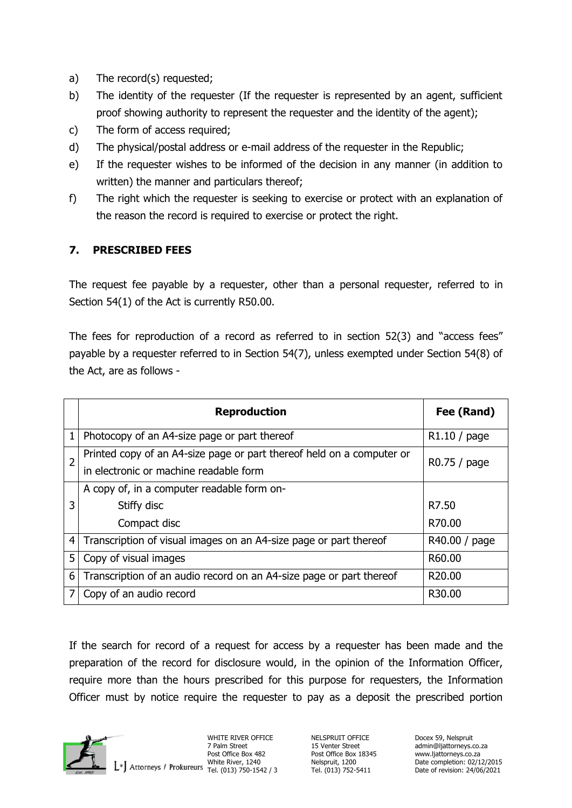- a) The record(s) requested;
- b) The identity of the requester (If the requester is represented by an agent, sufficient proof showing authority to represent the requester and the identity of the agent);
- c) The form of access required;
- d) The physical/postal address or e-mail address of the requester in the Republic;
- e) If the requester wishes to be informed of the decision in any manner (in addition to written) the manner and particulars thereof;
- f) The right which the requester is seeking to exercise or protect with an explanation of the reason the record is required to exercise or protect the right.

# **7. PRESCRIBED FEES**

The request fee payable by a requester, other than a personal requester, referred to in Section 54(1) of the Act is currently R50.00.

The fees for reproduction of a record as referred to in section 52(3) and "access fees" payable by a requester referred to in Section 54(7), unless exempted under Section 54(8) of the Act, are as follows -

|                | <b>Reproduction</b>                                                                                             | Fee (Rand)          |
|----------------|-----------------------------------------------------------------------------------------------------------------|---------------------|
| 1              | Photocopy of an A4-size page or part thereof                                                                    | R1.10/page          |
| $\overline{2}$ | Printed copy of an A4-size page or part thereof held on a computer or<br>in electronic or machine readable form | R0.75 / page        |
|                | A copy of, in a computer readable form on-                                                                      |                     |
| 3              | Stiffy disc                                                                                                     | R7.50               |
|                | Compact disc                                                                                                    | R70.00              |
| 4              | Transcription of visual images on an A4-size page or part thereof                                               | R40.00 / page       |
| 5              | Copy of visual images                                                                                           | R60.00              |
| 6              | Transcription of an audio record on an A4-size page or part thereof                                             | R <sub>20</sub> ,00 |
|                | Copy of an audio record                                                                                         | R30.00              |

If the search for record of a request for access by a requester has been made and the preparation of the record for disclosure would, in the opinion of the Information Officer, require more than the hours prescribed for this purpose for requesters, the Information Officer must by notice require the requester to pay as a deposit the prescribed portion



WHITE RIVER OFFICE **NELSPRUIT OFFICE** Docex 59, Nelspruit Device 59, Nelspruit 2 Palm Street 2 15 Venter Street Post Office Box 482 Post Office Box 1<br>Post Office Box 18345 white River, 1240<br>Pel. (013) 752-545 Tel. (013) 750-1542 / 3

15 Venter Street admin@ljattorneys.co.za<br>15 Post Office Box 18345 www.ljattorneys.co.za Nelspruit, 1200 **Date completion: 02/12/2015**<br>Tel. (013) 752-5411 Date of revision: 24/06/2021 Date of revision: 24/06/2021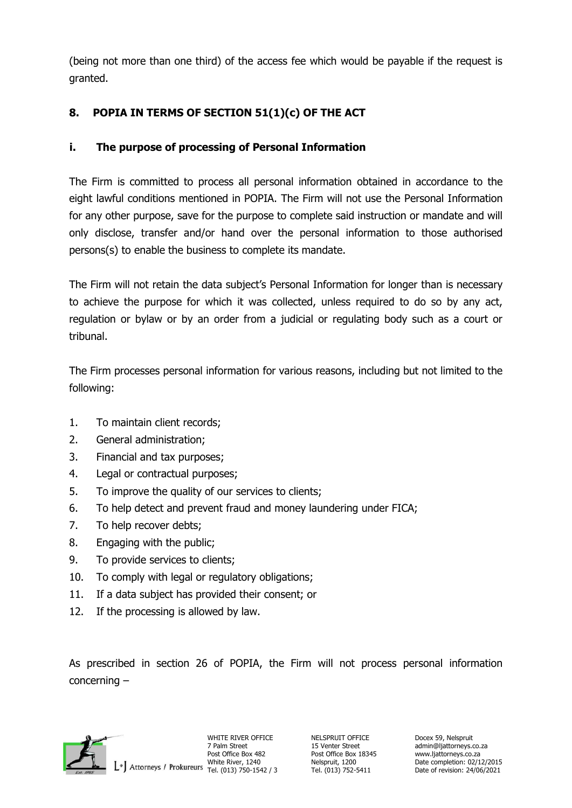(being not more than one third) of the access fee which would be payable if the request is granted.

# **8. POPIA IN TERMS OF SECTION 51(1)(c) OF THE ACT**

# **i. The purpose of processing of Personal Information**

The Firm is committed to process all personal information obtained in accordance to the eight lawful conditions mentioned in POPIA. The Firm will not use the Personal Information for any other purpose, save for the purpose to complete said instruction or mandate and will only disclose, transfer and/or hand over the personal information to those authorised persons(s) to enable the business to complete its mandate.

The Firm will not retain the data subject's Personal Information for longer than is necessary to achieve the purpose for which it was collected, unless required to do so by any act, regulation or bylaw or by an order from a judicial or regulating body such as a court or tribunal.

The Firm processes personal information for various reasons, including but not limited to the following:

- 1. To maintain client records;
- 2. General administration;
- 3. Financial and tax purposes;
- 4. Legal or contractual purposes;
- 5. To improve the quality of our services to clients;
- 6. To help detect and prevent fraud and money laundering under FICA;
- 7. To help recover debts;
- 8. Engaging with the public;
- 9. To provide services to clients;
- 10. To comply with legal or regulatory obligations;
- 11. If a data subject has provided their consent; or
- 12. If the processing is allowed by law.

As prescribed in section 26 of POPIA, the Firm will not process personal information concerning –



WHITE RIVER OFFICE NELSPRUIT OFFICE Docex 59, Nelspruit

7 Palm Street 15 Venter Street admin@ljattorneys.co.za<br>
15 Venter Street 18345 www.ljattorneys.co.za Nelspruit, 1200 **Date completion: 02/12/2015**<br>Tel. (013) 752-5411 Date of revision: 24/06/2021 Date of revision: 24/06/2021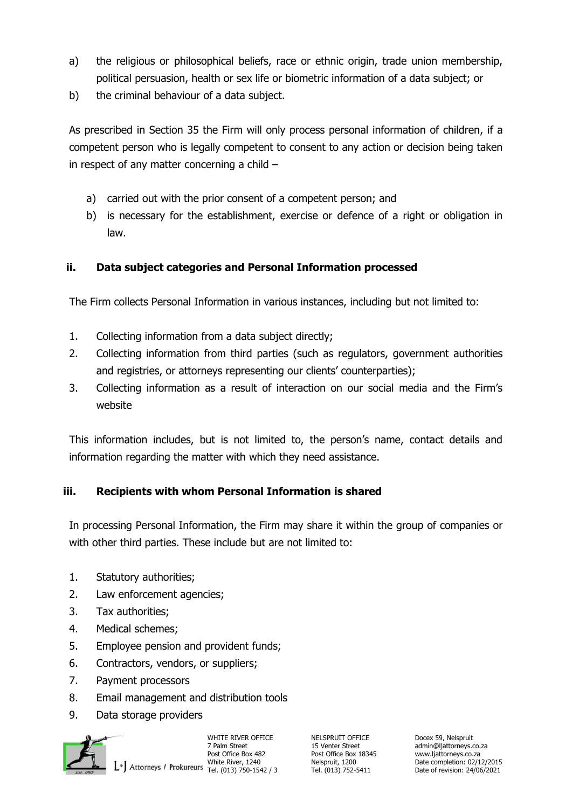- a) the religious or philosophical beliefs, race or ethnic origin, trade union membership, political persuasion, health or sex life or biometric information of a data subject; or
- b) the criminal behaviour of a data subject.

As prescribed in Section 35 the Firm will only process personal information of children, if a competent person who is legally competent to consent to any action or decision being taken in respect of any matter concerning a child –

- a) carried out with the prior consent of a competent person; and
- b) is necessary for the establishment, exercise or defence of a right or obligation in law.

#### **ii. Data subject categories and Personal Information processed**

The Firm collects Personal Information in various instances, including but not limited to:

- 1. Collecting information from a data subject directly;
- 2. Collecting information from third parties (such as regulators, government authorities and registries, or attorneys representing our clients' counterparties);
- 3. Collecting information as a result of interaction on our social media and the Firm's website

This information includes, but is not limited to, the person's name, contact details and information regarding the matter with which they need assistance.

#### **iii. Recipients with whom Personal Information is shared**

In processing Personal Information, the Firm may share it within the group of companies or with other third parties. These include but are not limited to:

- 1. Statutory authorities;
- 2. Law enforcement agencies;
- 3. Tax authorities;
- 4. Medical schemes;
- 5. Employee pension and provident funds;
- 6. Contractors, vendors, or suppliers;
- 7. Payment processors
- 8. Email management and distribution tools
- 9. Data storage providers



WHITE RIVER OFFICE NELSPRUIT OFFICE Docex 59, Nelspruit Post Office Box 482 Post Office Box 482 Post Office Box 18345 www.ljattorneys.co.za<br>White River, 1240 Nelspruit, 1200 Date completion: 02/11<br>Date of revision: 24/06 Post of Tel. (013) 750-1542 / 3 Tel. (013) 752-5411 Date

7 Palm Street 15 Venter Street admin@ljattorneys.co.za<br>
2 Post Office Box 482 Post Office Box 18345 www.ljattorneys.co.za Nelspruit, 1200 **Date completion: 02/12/2015**<br>Tel. (013) 752-5411 Date of revision: 24/06/2021 Date of revision: 24/06/2021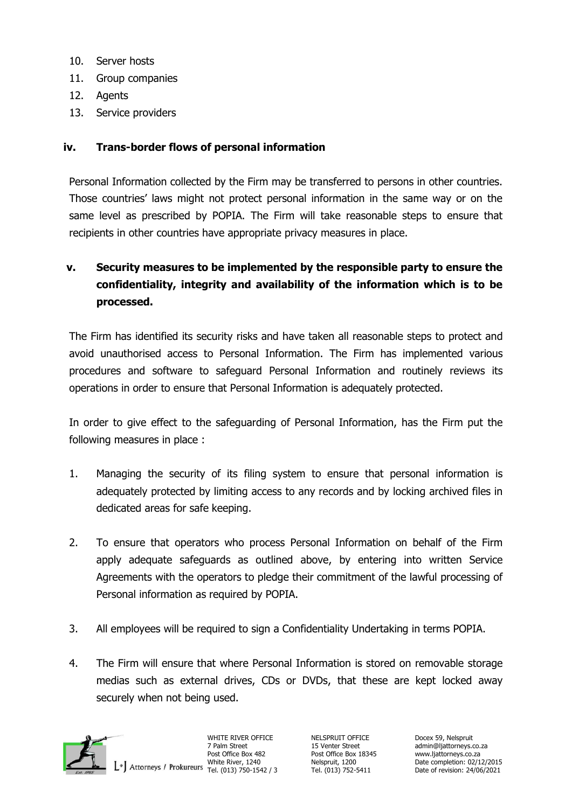- 10. Server hosts
- 11. Group companies
- 12. Agents
- 13. Service providers

#### **iv. Trans-border flows of personal information**

Personal Information collected by the Firm may be transferred to persons in other countries. Those countries' laws might not protect personal information in the same way or on the same level as prescribed by POPIA. The Firm will take reasonable steps to ensure that recipients in other countries have appropriate privacy measures in place.

# **v. Security measures to be implemented by the responsible party to ensure the confidentiality, integrity and availability of the information which is to be processed.**

The Firm has identified its security risks and have taken all reasonable steps to protect and avoid unauthorised access to Personal Information. The Firm has implemented various procedures and software to safeguard Personal Information and routinely reviews its operations in order to ensure that Personal Information is adequately protected.

In order to give effect to the safeguarding of Personal Information, has the Firm put the following measures in place :

- 1. Managing the security of its filing system to ensure that personal information is adequately protected by limiting access to any records and by locking archived files in dedicated areas for safe keeping.
- 2. To ensure that operators who process Personal Information on behalf of the Firm apply adequate safeguards as outlined above, by entering into written Service Agreements with the operators to pledge their commitment of the lawful processing of Personal information as required by POPIA.
- 3. All employees will be required to sign a Confidentiality Undertaking in terms POPIA.
- 4. The Firm will ensure that where Personal Information is stored on removable storage medias such as external drives, CDs or DVDs, that these are kept locked away securely when not being used.



WHITE RIVER OFFICE NELSPRUIT OFFICE Docex 59, Nelspruit Post Office Box 482 Post Office Box 18345 www.ljattorneys.co.za<br>1/240 White River, 1240 Nelspruit, 1200 Date completion: 02/1<br>1/9/06 02/13 02/52-5411 Date of revision: 24/06

7 Palm Street 15 Venter Street admin@ljattorneys.co.za<br>
15 Venter Street 18345 www.ljattorneys.co.za Nelspruit, 1200 **Date completion: 02/12/2015**<br>Tel. (013) 752-5411 Date of revision: 24/06/2021 Date of revision: 24/06/2021